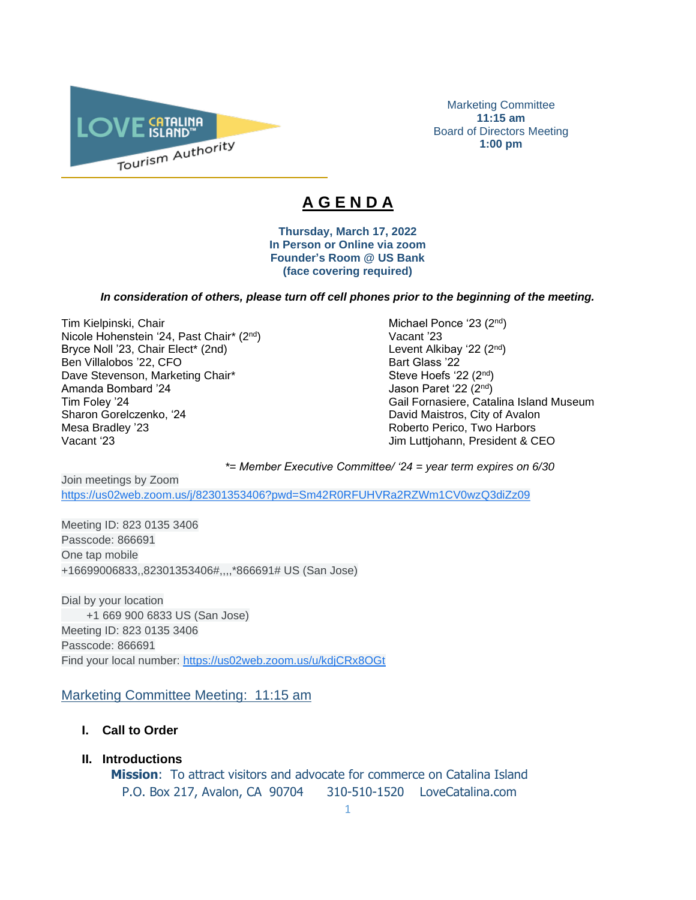

Marketing Committee **11:15 am** Board of Directors Meeting **1:00 pm**

# **A G E N D A**

 $\overline{\phantom{a}}$ 

**Thursday, March 17, 2022 In Person or Online via zoom Founder's Room @ US Bank (face covering required)**

### *In consideration of others, please turn off cell phones prior to the beginning of the meeting.*

Tim Kielpinski, Chair Michael Ponce '23 (2<sup>nd</sup>) and Michael Ponce '23 (2<sup>nd</sup>) Nicole Hohenstein '24, Past Chair\* (2<sup>nd</sup>) Vacant '23 Bryce Noll '23, Chair Elect\* (2nd) Ben Villalobos '22, CFO Bart Glass '22 Dave Stevenson, Marketing Chair\* Steve Hoefs '22 (2<sup>nd</sup>) Steve Hoefs '22 (2<sup>nd</sup>) Amanda Bombard '24 Jason Paret '22 (2<sup>nd</sup>) Sharon Gorelczenko, '24 **David Maistros, City of Avalon** Mesa Bradley '23 **Roberto Perico, Two Harbors** Vacant '23 Jim Luttjohann, President & CEO

nd ) Tim Foley '24 Gail Fornasiere, Catalina Island Museum

*\*= Member Executive Committee/ '24 = year term expires on 6/30* 

Join meetings by Zoom [https://us02web.zoom.us/j/82301353406?pwd=Sm42R0RFUHVRa2RZWm1CV0wzQ3diZz09](https://www.google.com/url?q=https://us02web.zoom.us/j/82301353406?pwd%3DSm42R0RFUHVRa2RZWm1CV0wzQ3diZz09&sa=D&source=calendar&ust=1615520592838000&usg=AOvVaw2YOhWUTEJgTHZ7_ay-dgZd)

Meeting ID: 823 0135 3406 Passcode: 866691 One tap mobile +16699006833,,82301353406#,,,,\*866691# US (San Jose)

Dial by your location +1 669 900 6833 US (San Jose) Meeting ID: 823 0135 3406 Passcode: 866691 Find your local number: [https://us02web.zoom.us/u/kdjCRx8OGt](https://www.google.com/url?q=https://us02web.zoom.us/u/kdjCRx8OGt&sa=D&source=calendar&ust=1615520592838000&usg=AOvVaw2gwBpPGmW2ln1ZL1spFK5e)

## Marketing Committee Meeting: 11:15 am

- **I. Call to Order**
- **II. Introductions**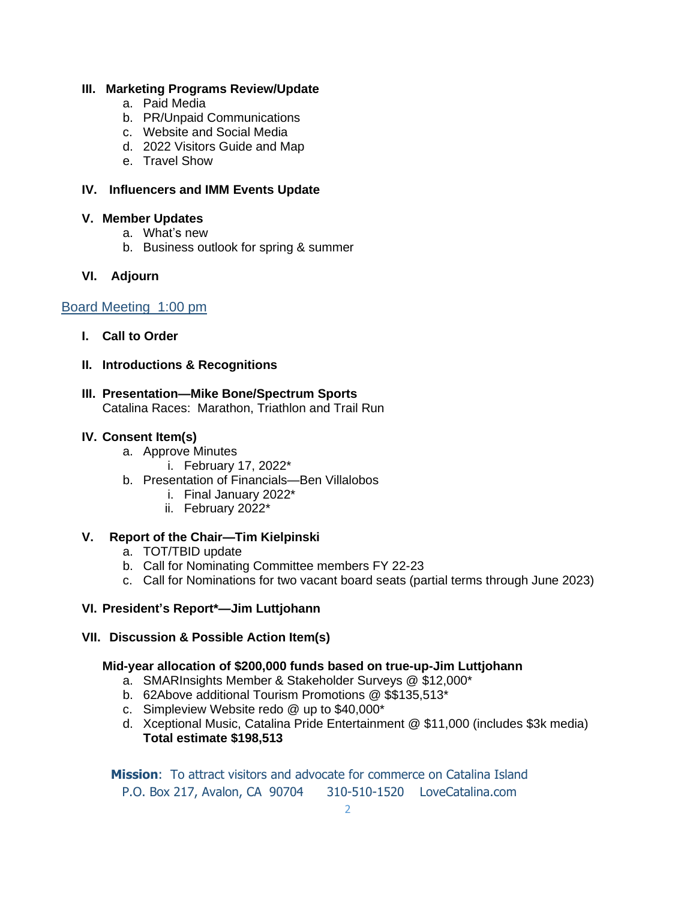# **III. Marketing Programs Review/Update**

- a. Paid Media
- b. PR/Unpaid Communications
- c. Website and Social Media
- d. 2022 Visitors Guide and Map
- e. Travel Show

## **IV. Influencers and IMM Events Update**

## **V. Member Updates**

- a. What's new
- b. Business outlook for spring & summer

# **VI. Adjourn**

# Board Meeting 1:00 pm

- **I. Call to Order**
- **II. Introductions & Recognitions**

# **III. Presentation—Mike Bone/Spectrum Sports**

Catalina Races: Marathon, Triathlon and Trail Run

## **IV. Consent Item(s)**

- a. Approve Minutes
	- i. February 17, 2022\*
- b. Presentation of Financials—Ben Villalobos
	- i. Final January 2022\*
	- ii. February 2022\*

# **V. Report of the Chair—Tim Kielpinski**

- a. TOT/TBID update
- b. Call for Nominating Committee members FY 22-23
- c. Call for Nominations for two vacant board seats (partial terms through June 2023)

# **VI. President's Report\*—Jim Luttjohann**

**VII. Discussion & Possible Action Item(s)** 

## **Mid-year allocation of \$200,000 funds based on true-up-Jim Luttjohann**

- a. SMARInsights Member & Stakeholder Surveys @ \$12,000\*
- b. 62Above additional Tourism Promotions @ \$\$135,513\*
- c. Simpleview Website redo @ up to \$40,000\*
- d. Xceptional Music, Catalina Pride Entertainment @ \$11,000 (includes \$3k media) **Total estimate \$198,513**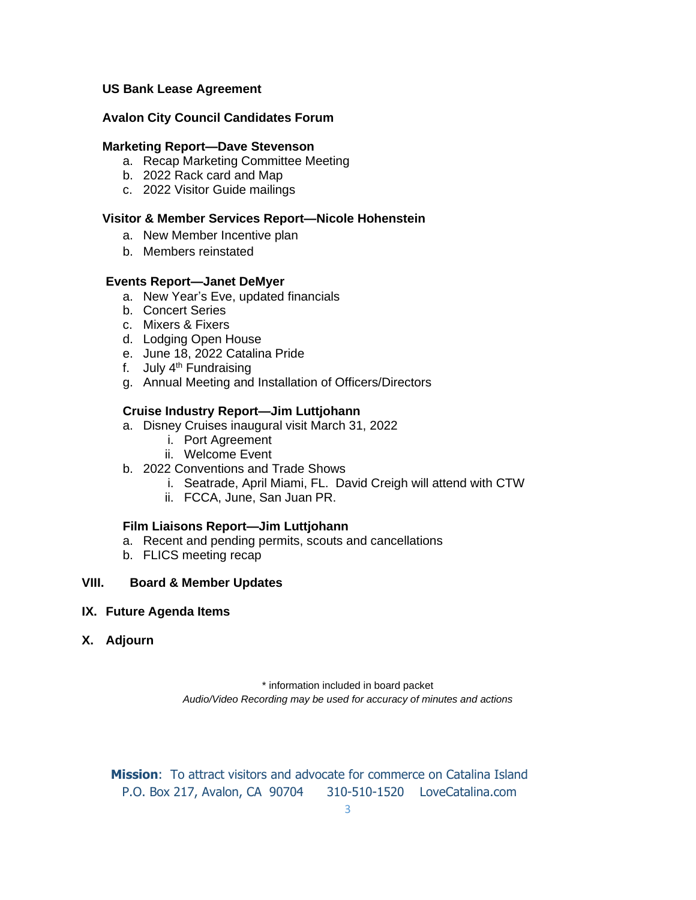## **US Bank Lease Agreement**

## **Avalon City Council Candidates Forum**

## **Marketing Report—Dave Stevenson**

- a. Recap Marketing Committee Meeting
- b. 2022 Rack card and Map
- c. 2022 Visitor Guide mailings

## **Visitor & Member Services Report—Nicole Hohenstein**

- a. New Member Incentive plan
- b. Members reinstated

### **Events Report—Janet DeMyer**

- a. New Year's Eve, updated financials
- b. Concert Series
- c. Mixers & Fixers
- d. Lodging Open House
- e. June 18, 2022 Catalina Pride
- f. July  $4<sup>th</sup>$  Fundraising
- g. Annual Meeting and Installation of Officers/Directors

### **Cruise Industry Report—Jim Luttjohann**

- a. Disney Cruises inaugural visit March 31, 2022
	- i. Port Agreement
	- ii. Welcome Event
- b. 2022 Conventions and Trade Shows
	- i. Seatrade, April Miami, FL. David Creigh will attend with CTW
	- ii. FCCA, June, San Juan PR.

#### **Film Liaisons Report—Jim Luttjohann**

- a. Recent and pending permits, scouts and cancellations
- b. FLICS meeting recap

### **VIII. Board & Member Updates**

#### **IX. Future Agenda Items**

**X. Adjourn**

\* information included in board packet *Audio/Video Recording may be used for accuracy of minutes and actions*